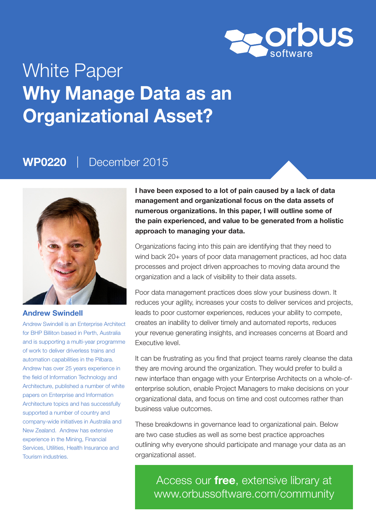

# White Paper Why Manage Data as an Organizational Asset?

### WP0220 | December 2015



### Andrew Swindell

Andrew Swindell is an Enterprise Architect for BHP Billiton based in Perth, Australia and is supporting a multi-year programme of work to deliver driverless trains and automation capabilities in the Pilbara. Andrew has over 25 years experience in the field of Information Technology and Architecture, published a number of white papers on Enterprise and Information Architecture topics and has successfully supported a number of country and company-wide initiatives in Australia and New Zealand. Andrew has extensive experience in the Mining, Financial Services, Utilities, Health Insurance and Tourism industries.

I have been exposed to a lot of pain caused by a lack of data management and organizational focus on the data assets of numerous organizations. In this paper, I will outline some of the pain experienced, and value to be generated from a holistic approach to managing your data.

Organizations facing into this pain are identifying that they need to wind back 20+ years of poor data management practices, ad hoc data processes and project driven approaches to moving data around the organization and a lack of visibility to their data assets.

Poor data management practices does slow your business down. It reduces your agility, increases your costs to deliver services and projects, leads to poor customer experiences, reduces your ability to compete, creates an inability to deliver timely and automated reports, reduces your revenue generating insights, and increases concerns at Board and Executive level.

It can be frustrating as you find that project teams rarely cleanse the data they are moving around the organization. They would prefer to build a new interface than engage with your Enterprise Architects on a whole-ofenterprise solution, enable Project Managers to make decisions on your organizational data, and focus on time and cost outcomes rather than business value outcomes.

These breakdowns in governance lead to organizational pain. Below are two case studies as well as some best practice approaches outlining why everyone should participate and manage your data as an organizational asset.

Access our free, extensive library at <www.orbussoftware.com/community>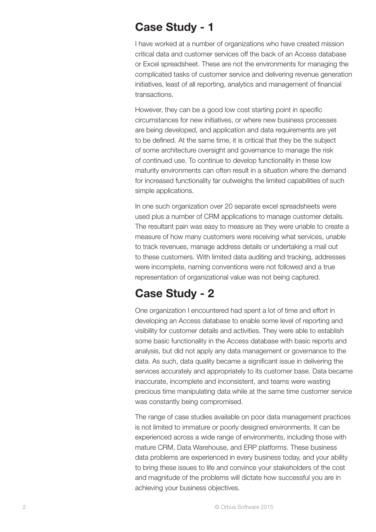### Case Study - 1

I have worked at a number of organizations who have created mission critical data and customer services off the back of an Access database or Excel spreadsheet. These are not the environments for managing the complicated tasks of customer service and delivering revenue generation initiatives, least of all reporting, analytics and management of financial transactions.

However, they can be a good low cost starting point in specific circumstances for new initiatives, or where new business processes are being developed, and application and data requirements are yet to be defined. At the same time, it is critical that they be the subject of some architecture oversight and governance to manage the risk of continued use. To continue to develop functionality in these low maturity environments can often result in a situation where the demand for increased functionality far outweighs the limited capabilities of such simple applications.

In one such organization over 20 separate excel spreadsheets were used plus a number of CRM applications to manage customer details. The resultant pain was easy to measure as they were unable to create a measure of how many customers were receiving what services, unable to track revenues, manage address details or undertaking a mail out to these customers. With limited data auditing and tracking, addresses were incomplete, naming conventions were not followed and a true representation of organizational value was not being captured.

### Case Study - 2

One organization I encountered had spent a lot of time and effort in developing an Access database to enable some level of reporting and visibility for customer details and activities. They were able to establish some basic functionality in the Access database with basic reports and analysis, but did not apply any data management or governance to the data. As such, data quality became a significant issue in delivering the services accurately and appropriately to its customer base. Data became inaccurate, incomplete and inconsistent, and teams were wasting precious time manipulating data while at the same time customer service was constantly being compromised.

The range of case studies available on poor data management practices is not limited to immature or poorly designed environments. It can be experienced across a wide range of environments, including those with mature CRM, Data Warehouse, and ERP platforms. These business data problems are experienced in every business today, and your ability to bring these issues to life and convince your stakeholders of the cost and magnitude of the problems will dictate how successful you are in achieving your business objectives.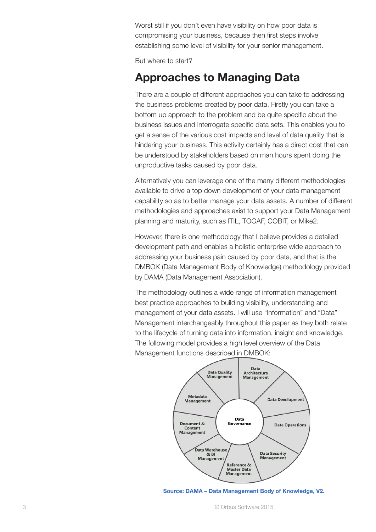Worst still if you don't even have visibility on how poor data is compromising your business, because then first steps involve establishing some level of visibility for your senior management.

But where to start?

## Approaches to Managing Data

There are a couple of different approaches you can take to addressing the business problems created by poor data. Firstly you can take a bottom up approach to the problem and be quite specific about the business issues and interrogate specific data sets. This enables you to get a sense of the various cost impacts and level of data quality that is hindering your business. This activity certainly has a direct cost that can be understood by stakeholders based on man hours spent doing the unproductive tasks caused by poor data.

Alternatively you can leverage one of the many different methodologies available to drive a top down development of your data management capability so as to better manage your data assets. A number of different methodologies and approaches exist to support your Data Management planning and maturity, such as ITIL, TOGAF, COBIT, or Mike2.

However, there is one methodology that I believe provides a detailed development path and enables a holistic enterprise wide approach to addressing your business pain caused by poor data, and that is the DMBOK (Data Management Body of Knowledge) methodology provided by DAMA (Data Management Association).

The methodology outlines a wide range of information management best practice approaches to building visibility, understanding and management of your data assets. I will use "Information" and "Data" Management interchangeably throughout this paper as they both relate to the lifecycle of turning data into information, insight and knowledge. The following model provides a high level overview of the Data Management functions described in DMBOK:



Source: DAMA – Data Management Body of Knowledge, V2.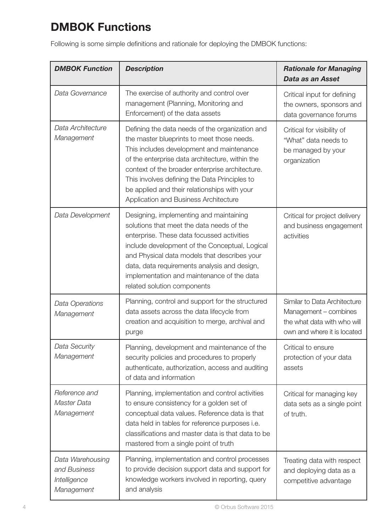# DMBOK Functions

Following is some simple definitions and rationale for deploying the DMBOK functions:

| <b>DMBOK Function</b>                                          | <b>Description</b>                                                                                                                                                                                                                                                                                                                                                                         | <b>Rationale for Managing</b><br>Data as an Asset                                                                   |
|----------------------------------------------------------------|--------------------------------------------------------------------------------------------------------------------------------------------------------------------------------------------------------------------------------------------------------------------------------------------------------------------------------------------------------------------------------------------|---------------------------------------------------------------------------------------------------------------------|
| Data Governance                                                | The exercise of authority and control over<br>management (Planning, Monitoring and<br>Enforcement) of the data assets                                                                                                                                                                                                                                                                      | Critical input for defining<br>the owners, sponsors and<br>data governance forums                                   |
| Data Architecture<br>Management                                | Defining the data needs of the organization and<br>the master blueprints to meet those needs.<br>This includes development and maintenance<br>of the enterprise data architecture, within the<br>context of the broader enterprise architecture.<br>This involves defining the Data Principles to<br>be applied and their relationships with your<br>Application and Business Architecture | Critical for visibility of<br>"What" data needs to<br>be managed by your<br>organization                            |
| Data Development                                               | Designing, implementing and maintaining<br>solutions that meet the data needs of the<br>enterprise. These data focussed activities<br>include development of the Conceptual, Logical<br>and Physical data models that describes your<br>data, data requirements analysis and design,<br>implementation and maintenance of the data<br>related solution components                          | Critical for project delivery<br>and business engagement<br>activities                                              |
| Data Operations<br>Management                                  | Planning, control and support for the structured<br>data assets across the data lifecycle from<br>creation and acquisition to merge, archival and<br>purge                                                                                                                                                                                                                                 | Similar to Data Architecture<br>Management – combines<br>the what data with who will<br>own and where it is located |
| Data Security<br>Management                                    | Planning, development and maintenance of the<br>security policies and procedures to properly<br>authenticate, authorization, access and auditing<br>of data and information                                                                                                                                                                                                                | Critical to ensure<br>protection of your data<br>assets                                                             |
| Reference and<br>Master Data<br>Management                     | Planning, implementation and control activities<br>to ensure consistency for a golden set of<br>conceptual data values. Reference data is that<br>data held in tables for reference purposes i.e.<br>classifications and master data is that data to be<br>mastered from a single point of truth                                                                                           | Critical for managing key<br>data sets as a single point<br>of truth.                                               |
| Data Warehousing<br>and Business<br>Intelligence<br>Management | Planning, implementation and control processes<br>to provide decision support data and support for<br>knowledge workers involved in reporting, query<br>and analysis                                                                                                                                                                                                                       | Treating data with respect<br>and deploying data as a<br>competitive advantage                                      |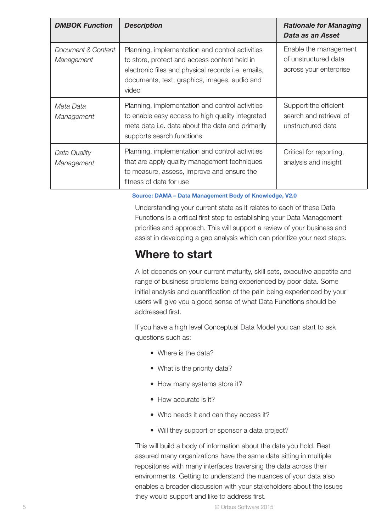| <b>DMBOK Function</b>            | <b>Description</b>                                                                                                                                                                                                    | <b>Rationale for Managing</b><br>Data as an Asset                       |
|----------------------------------|-----------------------------------------------------------------------------------------------------------------------------------------------------------------------------------------------------------------------|-------------------------------------------------------------------------|
| Document & Content<br>Management | Planning, implementation and control activities<br>to store, protect and access content held in<br>electronic files and physical records <i>i.e.</i> emails,<br>documents, text, graphics, images, audio and<br>video | Enable the management<br>of unstructured data<br>across your enterprise |
| Meta Data<br>Management          | Planning, implementation and control activities<br>to enable easy access to high quality integrated<br>meta data i.e. data about the data and primarily<br>supports search functions                                  | Support the efficient<br>search and retrieval of<br>unstructured data   |
| Data Quality<br>Management       | Planning, implementation and control activities<br>that are apply quality management techniques<br>to measure, assess, improve and ensure the<br>fitness of data for use                                              | Critical for reporting,<br>analysis and insight                         |

### Source: DAMA – Data Management Body of Knowledge, V2.0

Understanding your current state as it relates to each of these Data Functions is a critical first step to establishing your Data Management priorities and approach. This will support a review of your business and assist in developing a gap analysis which can prioritize your next steps.

### Where to start

A lot depends on your current maturity, skill sets, executive appetite and range of business problems being experienced by poor data. Some initial analysis and quantification of the pain being experienced by your users will give you a good sense of what Data Functions should be addressed first.

If you have a high level Conceptual Data Model you can start to ask questions such as:

- Where is the data?
- What is the priority data?
- How many systems store it?
- How accurate is it?
- Who needs it and can they access it?
- Will they support or sponsor a data project?

This will build a body of information about the data you hold. Rest assured many organizations have the same data sitting in multiple repositories with many interfaces traversing the data across their environments. Getting to understand the nuances of your data also enables a broader discussion with your stakeholders about the issues they would support and like to address first.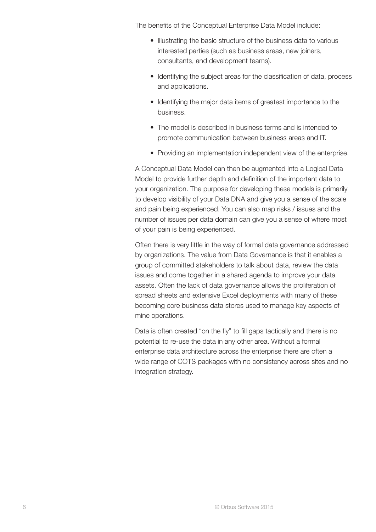The benefits of the Conceptual Enterprise Data Model include:

- Illustrating the basic structure of the business data to various interested parties (such as business areas, new joiners, consultants, and development teams).
- Identifying the subject areas for the classification of data, process and applications.
- Identifying the major data items of greatest importance to the business.
- The model is described in business terms and is intended to promote communication between business areas and IT.
- Providing an implementation independent view of the enterprise.

A Conceptual Data Model can then be augmented into a Logical Data Model to provide further depth and definition of the important data to your organization. The purpose for developing these models is primarily to develop visibility of your Data DNA and give you a sense of the scale and pain being experienced. You can also map risks / issues and the number of issues per data domain can give you a sense of where most of your pain is being experienced.

Often there is very little in the way of formal data governance addressed by organizations. The value from Data Governance is that it enables a group of committed stakeholders to talk about data, review the data issues and come together in a shared agenda to improve your data assets. Often the lack of data governance allows the proliferation of spread sheets and extensive Excel deployments with many of these becoming core business data stores used to manage key aspects of mine operations.

Data is often created "on the fly" to fill gaps tactically and there is no potential to re-use the data in any other area. Without a formal enterprise data architecture across the enterprise there are often a wide range of COTS packages with no consistency across sites and no integration strategy.